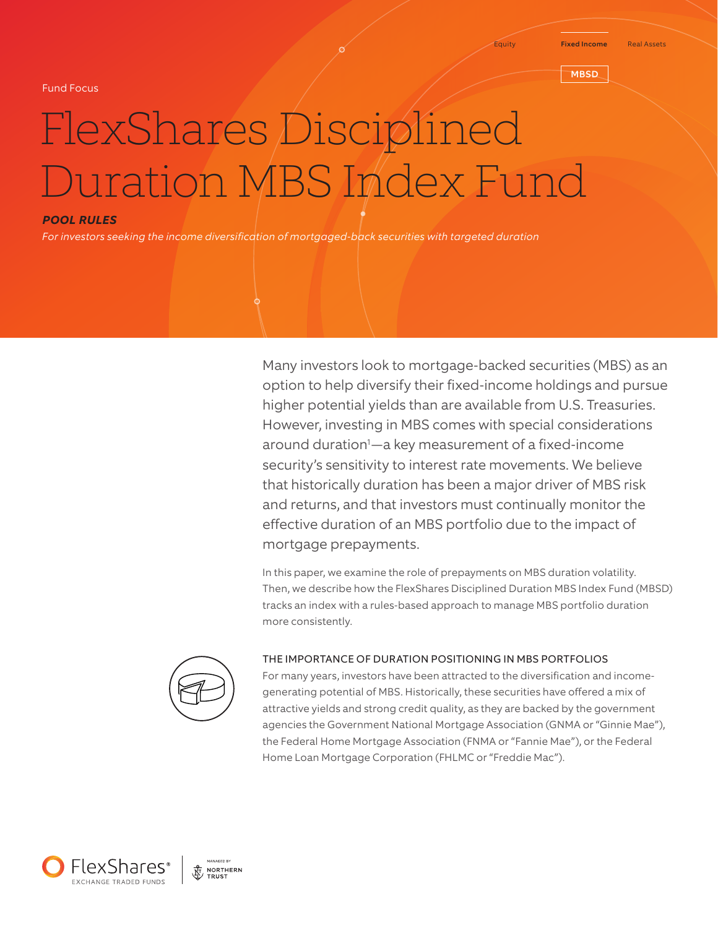Fund Focus

#### **MBSD**

# FlexShares Disciplined Duration MBS Index Fund

## *POOL RULES*

*For investors seeking the income diversification of mortgaged-back securities with targeted duration*

Many investors look to mortgage-backed securities (MBS) as an option to help diversify their fixed-income holdings and pursue higher potential yields than are available from U.S. Treasuries. However, investing in MBS comes with special considerations around duration1 —a key measurement of a fixed-income security's sensitivity to interest rate movements. We believe that historically duration has been a major driver of MBS risk and returns, and that investors must continually monitor the effective duration of an MBS portfolio due to the impact of mortgage prepayments.

In this paper, we examine the role of prepayments on MBS duration volatility. Then, we describe how the FlexShares Disciplined Duration MBS Index Fund (MBSD) tracks an index with a rules-based approach to manage MBS portfolio duration more consistently.



#### THE IMPORTANCE OF DURATION POSITIONING IN MBS PORTFOLIOS

For many years, investors have been attracted to the diversification and incomegenerating potential of MBS. Historically, these securities have offered a mix of attractive yields and strong credit quality, as they are backed by the government agencies the Government National Mortgage Association (GNMA or "Ginnie Mae"), the Federal Home Mortgage Association (FNMA or "Fannie Mae"), or the Federal Home Loan Mortgage Corporation (FHLMC or "Freddie Mac").

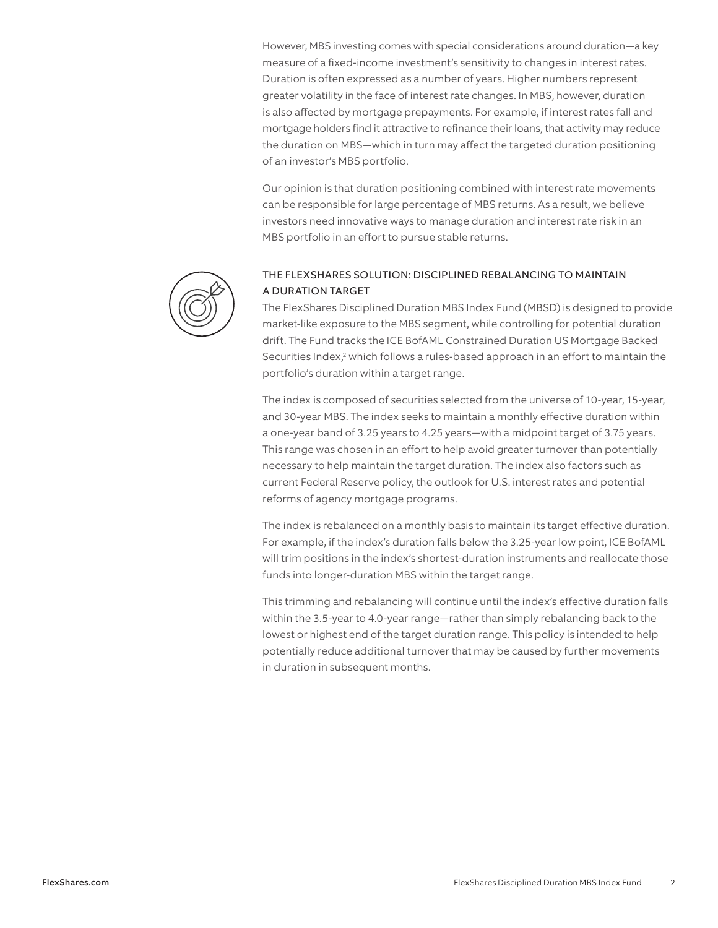However, MBS investing comes with special considerations around duration—a key measure of a fixed-income investment's sensitivity to changes in interest rates. Duration is often expressed as a number of years. Higher numbers represent greater volatility in the face of interest rate changes. In MBS, however, duration is also affected by mortgage prepayments. For example, if interest rates fall and mortgage holders find it attractive to refinance their loans, that activity may reduce the duration on MBS—which in turn may affect the targeted duration positioning of an investor's MBS portfolio.

Our opinion is that duration positioning combined with interest rate movements can be responsible for large percentage of MBS returns. As a result, we believe investors need innovative ways to manage duration and interest rate risk in an MBS portfolio in an effort to pursue stable returns.



# THE FLEXSHARES SOLUTION: DISCIPLINED REBALANCING TO MAINTAIN A DURATION TARGET

The FlexShares Disciplined Duration MBS Index Fund (MBSD) is designed to provide market-like exposure to the MBS segment, while controlling for potential duration drift. The Fund tracks the ICE BofAML Constrained Duration US Mortgage Backed Securities Index,<sup>2</sup> which follows a rules-based approach in an effort to maintain the portfolio's duration within a target range.

The index is composed of securities selected from the universe of 10-year, 15-year, and 30-year MBS. The index seeks to maintain a monthly effective duration within a one-year band of 3.25 years to 4.25 years—with a midpoint target of 3.75 years. This range was chosen in an effort to help avoid greater turnover than potentially necessary to help maintain the target duration. The index also factors such as current Federal Reserve policy, the outlook for U.S. interest rates and potential reforms of agency mortgage programs.

The index is rebalanced on a monthly basis to maintain its target effective duration. For example, if the index's duration falls below the 3.25-year low point, ICE BofAML will trim positions in the index's shortest-duration instruments and reallocate those funds into longer-duration MBS within the target range.

This trimming and rebalancing will continue until the index's effective duration falls within the 3.5-year to 4.0-year range—rather than simply rebalancing back to the lowest or highest end of the target duration range. This policy is intended to help potentially reduce additional turnover that may be caused by further movements in duration in subsequent months.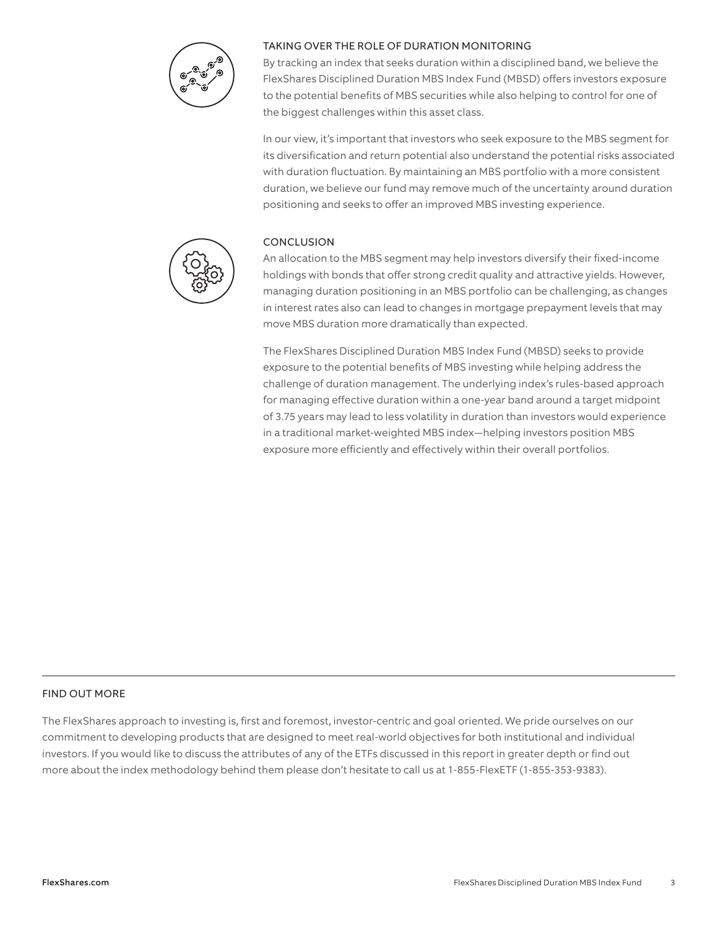

# TAKING OVER THE ROLE OF DURATION MONITORING

By tracking an index that seeks duration within a disciplined band, we believe the FlexShares Disciplined Duration MBS Index Fund (MBSD) offers investors exposure to the potential benefits of MBS securities while also helping to control for one of the biggest challenges within this asset class.

In our view, it's important that investors who seek exposure to the MBS segment for its diversification and return potential also understand the potential risks associated with duration fluctuation. By maintaining an MBS portfolio with a more consistent duration, we believe our fund may remove much of the uncertainty around duration positioning and seeks to offer an improved MBS investing experience.



### CONCLUSION

An allocation to the MBS segment may help investors diversify their fixed-income holdings with bonds that offer strong credit quality and attractive yields. However, managing duration positioning in an MBS portfolio can be challenging, as changes in interest rates also can lead to changes in mortgage prepayment levels that may move MBS duration more dramatically than expected.

The FlexShares Disciplined Duration MBS Index Fund (MBSD) seeks to provide exposure to the potential benefits of MBS investing while helping address the challenge of duration management. The underlying index's rules-based approach for managing effective duration within a one-year band around a target midpoint of 3.75 years may lead to less volatility in duration than investors would experience in a traditional market-weighted MBS index—helping investors position MBS exposure more efficiently and effectively within their overall portfolios.

#### FIND OUT MORE

The FlexShares approach to investing is, first and foremost, investor-centric and goal oriented. We pride ourselves on our commitment to developing products that are designed to meet real-world objectives for both institutional and individual investors. If you would like to discuss the attributes of any of the ETFs discussed in this report in greater depth or find out more about the index methodology behind them please don't hesitate to call us at 1-855-FlexETF (1-855-353-9383).